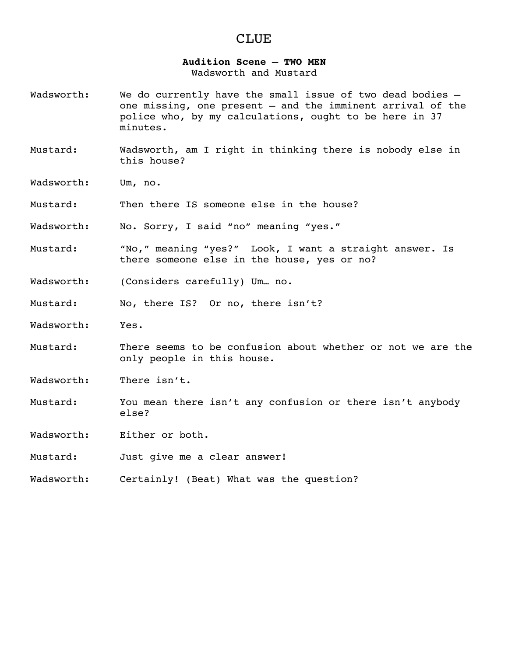# CLUE

### **Audition Scene** – **TWO MEN**

Wadsworth and Mustard

- Wadsworth: We do currently have the small issue of two dead bodies one missing, one present – and the imminent arrival of the police who, by my calculations, ought to be here in 37 minutes.
- Mustard: Wadsworth, am I right in thinking there is nobody else in this house?
- Wadsworth: Um, no.
- Mustard: Then there IS someone else in the house?
- Wadsworth: No. Sorry, I said "no" meaning "yes."
- Mustard: "No," meaning "yes?" Look, I want a straight answer. Is there someone else in the house, yes or no?
- Wadsworth: (Considers carefully) Um… no.
- Mustard: No, there IS? Or no, there isn't?
- Wadsworth: Yes.
- Mustard: There seems to be confusion about whether or not we are the only people in this house.

Wadsworth: There isn't.

- Mustard: You mean there isn't any confusion or there isn't anybody else?
- Wadsworth: Either or both.
- Mustard: Just give me a clear answer!
- Wadsworth: Certainly! (Beat) What was the question?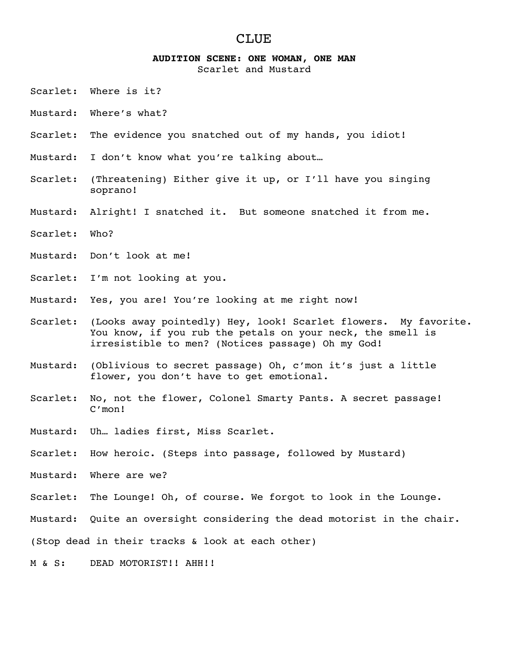# CLUE

#### **AUDITION SCENE: ONE WOMAN, ONE MAN**

Scarlet and Mustard

- Scarlet: Where is it?
- Mustard: Where's what?
- Scarlet: The evidence you snatched out of my hands, you idiot!
- Mustard: I don't know what you're talking about…
- Scarlet: (Threatening) Either give it up, or I'll have you singing soprano!
- Mustard: Alright! I snatched it. But someone snatched it from me.
- Scarlet: Who?
- Mustard: Don't look at me!
- Scarlet: I'm not looking at you.
- Mustard: Yes, you are! You're looking at me right now!
- Scarlet: (Looks away pointedly) Hey, look! Scarlet flowers. My favorite. You know, if you rub the petals on your neck, the smell is irresistible to men? (Notices passage) Oh my God!
- Mustard: (Oblivious to secret passage) Oh, c'mon it's just a little flower, you don't have to get emotional.
- Scarlet: No, not the flower, Colonel Smarty Pants. A secret passage! C'mon!
- Mustard: Uh… ladies first, Miss Scarlet.
- Scarlet: How heroic. (Steps into passage, followed by Mustard)
- Mustard: Where are we?
- Scarlet: The Lounge! Oh, of course. We forgot to look in the Lounge.

Mustard: Quite an oversight considering the dead motorist in the chair.

(Stop dead in their tracks & look at each other)

M & S: DEAD MOTORIST!! AHH!!